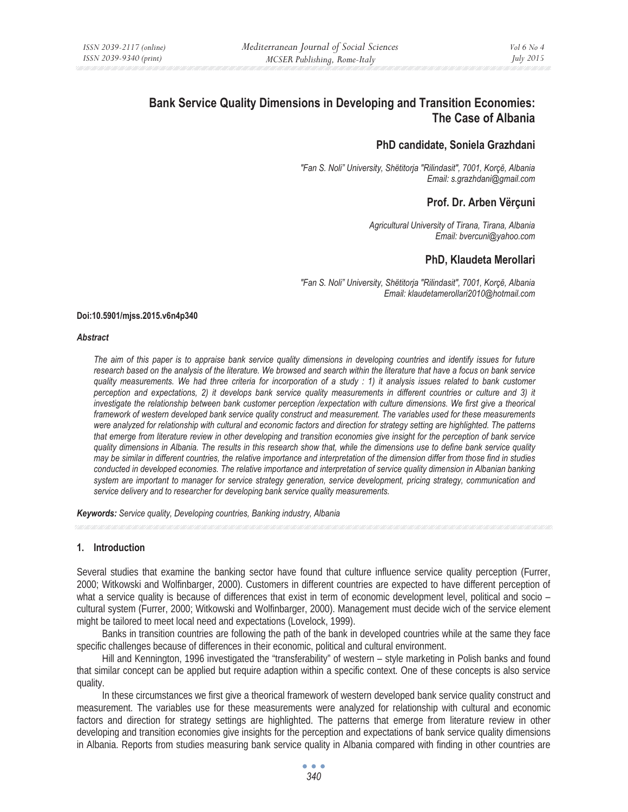# **Bank Service Quality Dimensions in Developing and Transition Economies: The Case of Albania**

## **PhD candidate, Soniela Grazhdani**

*"Fan S. Noli" University, Shëtitorja "Rilindasit", 7001, Korçë, Albania Email: s.grazhdani@gmail.com* 

## **Prof. Dr. Arben Vërçuni**

*Agricultural University of Tirana, Tirana, Albania Email: bvercuni@yahoo.com* 

# **PhD, Klaudeta Merollari**

*"Fan S. Noli" University, Shëtitorja "Rilindasit", 7001, Korçë, Albania Email: klaudetamerollari2010@hotmail.com* 

### **Doi:10.5901/mjss.2015.v6n4p340**

#### *Abstract*

*The aim of this paper is to appraise bank service quality dimensions in developing countries and identify issues for future research based on the analysis of the literature. We browsed and search within the literature that have a focus on bank service quality measurements. We had three criteria for incorporation of a study : 1) it analysis issues related to bank customer perception and expectations, 2) it develops bank service quality measurements in different countries or culture and 3) it investigate the relationship between bank customer perception /expectation with culture dimensions. We first give a theorical framework of western developed bank service quality construct and measurement. The variables used for these measurements were analyzed for relationship with cultural and economic factors and direction for strategy setting are highlighted. The patterns that emerge from literature review in other developing and transition economies give insight for the perception of bank service quality dimensions in Albania. The results in this research show that, while the dimensions use to define bank service quality may be similar in different countries, the relative importance and interpretation of the dimension differ from those find in studies conducted in developed economies. The relative importance and interpretation of service quality dimension in Albanian banking system are important to manager for service strategy generation, service development, pricing strategy, communication and service delivery and to researcher for developing bank service quality measurements.* 

*Keywords: Service quality, Developing countries, Banking industry, Albania* 

## **1. Introduction**

Several studies that examine the banking sector have found that culture influence service quality perception (Furrer, 2000; Witkowski and Wolfinbarger, 2000). Customers in different countries are expected to have different perception of what a service quality is because of differences that exist in term of economic development level, political and socio – cultural system (Furrer, 2000; Witkowski and Wolfinbarger, 2000). Management must decide wich of the service element might be tailored to meet local need and expectations (Lovelock, 1999).

Banks in transition countries are following the path of the bank in developed countries while at the same they face specific challenges because of differences in their economic, political and cultural environment.

Hill and Kennington, 1996 investigated the "transferability" of western – style marketing in Polish banks and found that similar concept can be applied but require adaption within a specific context. One of these concepts is also service quality.

In these circumstances we first give a theorical framework of western developed bank service quality construct and measurement. The variables use for these measurements were analyzed for relationship with cultural and economic factors and direction for strategy settings are highlighted. The patterns that emerge from literature review in other developing and transition economies give insights for the perception and expectations of bank service quality dimensions in Albania. Reports from studies measuring bank service quality in Albania compared with finding in other countries are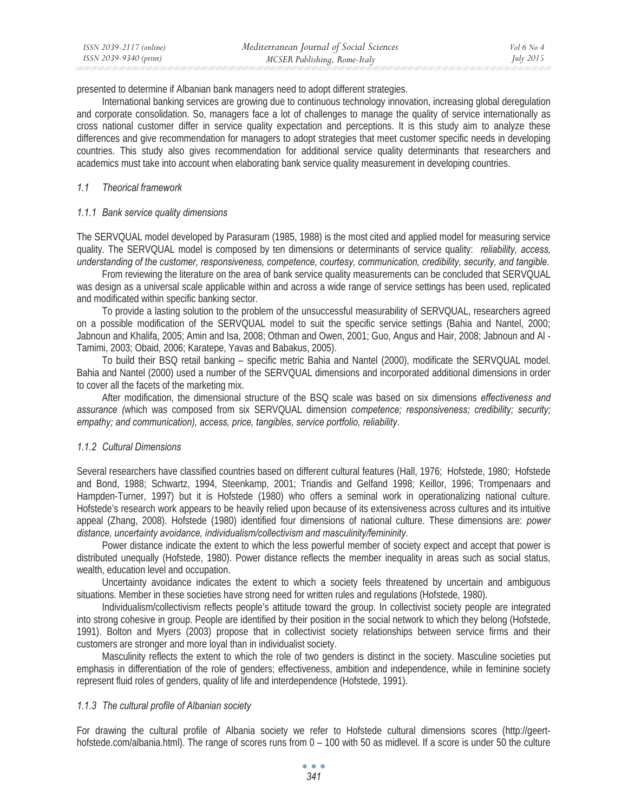| ISSN 2039-2117 (online) | Mediterranean Journal of Social Sciences | Vol 6 No 4       |
|-------------------------|------------------------------------------|------------------|
| ISSN 2039-9340 (print)  | MCSER Publishing, Rome-Italy             | <i>July 2015</i> |

presented to determine if Albanian bank managers need to adopt different strategies.

International banking services are growing due to continuous technology innovation, increasing global deregulation and corporate consolidation. So, managers face a lot of challenges to manage the quality of service internationally as cross national customer differ in service quality expectation and perceptions. It is this study aim to analyze these differences and give recommendation for managers to adopt strategies that meet customer specific needs in developing countries. This study also gives recommendation for additional service quality determinants that researchers and academics must take into account when elaborating bank service quality measurement in developing countries.

#### *1.1 Theorical framework*

#### *1.1.1 Bank service quality dimensions*

The SERVQUAL model developed by Parasuram (1985, 1988) is the most cited and applied model for measuring service quality. The SERVQUAL model is composed by ten dimensions or determinants of service quality: *reliability, access, understanding of the customer, responsiveness, competence, courtesy, communication, credibility, security, and tangible.* 

From reviewing the literature on the area of bank service quality measurements can be concluded that SERVQUAL was design as a universal scale applicable within and across a wide range of service settings has been used, replicated and modificated within specific banking sector.

To provide a lasting solution to the problem of the unsuccessful measurability of SERVQUAL, researchers agreed on a possible modification of the SERVQUAL model to suit the specific service settings (Bahia and Nantel, 2000; Jabnoun and Khalifa, 2005; Amin and Isa, 2008; Othman and Owen, 2001; Guo, Angus and Hair, 2008; Jabnoun and Al - Tamimi, 2003; Obaid, 2006; Karatepe, Yavas and Babakus, 2005).

To build their BSQ retail banking – specific metric Bahia and Nantel (2000), modificate the SERVQUAL model. Bahia and Nantel (2000) used a number of the SERVQUAL dimensions and incorporated additional dimensions in order to cover all the facets of the marketing mix.

After modification, the dimensional structure of the BSQ scale was based on six dimensions *effectiveness and assurance (*which was composed from six SERVQUAL dimension *competence; responsiveness; credibility; security; empathy; and communication), access, price, tangibles, service portfolio, reliability*.

### *1.1.2 Cultural Dimensions*

Several researchers have classified countries based on different cultural features (Hall, 1976; Hofstede, 1980; Hofstede and Bond, 1988; Schwartz, 1994, Steenkamp, 2001; Triandis and Gelfand 1998; Keillor, 1996; Trompenaars and Hampden-Turner, 1997) but it is Hofstede (1980) who offers a seminal work in operationalizing national culture. Hofstede's research work appears to be heavily relied upon because of its extensiveness across cultures and its intuitive appeal (Zhang, 2008). Hofstede (1980) identified four dimensions of national culture. These dimensions are: *power distance, uncertainty avoidance, individualism/collectivism and masculinity/femininity.* 

Power distance indicate the extent to which the less powerful member of society expect and accept that power is distributed unequally (Hofstede, 1980). Power distance reflects the member inequality in areas such as social status, wealth, education level and occupation.

Uncertainty avoidance indicates the extent to which a society feels threatened by uncertain and ambiguous situations. Member in these societies have strong need for written rules and regulations (Hofstede, 1980).

Individualism/collectivism reflects people's attitude toward the group. In collectivist society people are integrated into strong cohesive in group. People are identified by their position in the social network to which they belong (Hofstede, 1991). Bolton and Myers (2003) propose that in collectivist society relationships between service firms and their customers are stronger and more loyal than in individualist society.

Masculinity reflects the extent to which the role of two genders is distinct in the society. Masculine societies put emphasis in differentiation of the role of genders; effectiveness, ambition and independence, while in feminine society represent fluid roles of genders, quality of life and interdependence (Hofstede, 1991).

#### *1.1.3 The cultural profile of Albanian society*

For drawing the cultural profile of Albania society we refer to Hofstede cultural dimensions scores (http://geerthofstede.com/albania.html). The range of scores runs from 0 – 100 with 50 as midlevel. If a score is under 50 the culture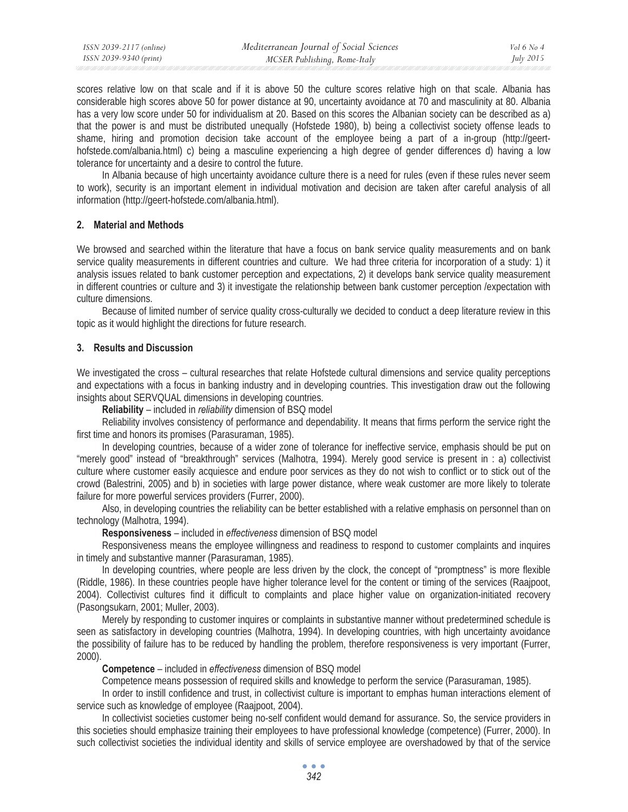| ISSN 2039-2117 (online) | Mediterranean Journal of Social Sciences | Vol 6 No 4       |
|-------------------------|------------------------------------------|------------------|
| ISSN 2039-9340 (print)  | MCSER Publishing, Rome-Italy             | <i>July 2015</i> |

scores relative low on that scale and if it is above 50 the culture scores relative high on that scale. Albania has considerable high scores above 50 for power distance at 90, uncertainty avoidance at 70 and masculinity at 80. Albania has a very low score under 50 for individualism at 20. Based on this scores the Albanian society can be described as a) that the power is and must be distributed unequally (Hofstede 1980), b) being a collectivist society offense leads to shame, hiring and promotion decision take account of the employee being a part of a in-group (http://geerthofstede.com/albania.html) c) being a masculine experiencing a high degree of gender differences d) having a low tolerance for uncertainty and a desire to control the future.

In Albania because of high uncertainty avoidance culture there is a need for rules (even if these rules never seem to work), security is an important element in individual motivation and decision are taken after careful analysis of all information (http://geert-hofstede.com/albania.html).

### **2. Material and Methods**

We browsed and searched within the literature that have a focus on bank service quality measurements and on bank service quality measurements in different countries and culture. We had three criteria for incorporation of a study: 1) it analysis issues related to bank customer perception and expectations, 2) it develops bank service quality measurement in different countries or culture and 3) it investigate the relationship between bank customer perception /expectation with culture dimensions.

Because of limited number of service quality cross-culturally we decided to conduct a deep literature review in this topic as it would highlight the directions for future research.

### **3. Results and Discussion**

We investigated the cross – cultural researches that relate Hofstede cultural dimensions and service quality perceptions and expectations with a focus in banking industry and in developing countries. This investigation draw out the following insights about SERVQUAL dimensions in developing countries.

**Reliability** – included in *reliability* dimension of BSQ model

Reliability involves consistency of performance and dependability. It means that firms perform the service right the first time and honors its promises (Parasuraman, 1985).

In developing countries, because of a wider zone of tolerance for ineffective service, emphasis should be put on "merely good" instead of "breakthrough" services (Malhotra, 1994). Merely good service is present in : a) collectivist culture where customer easily acquiesce and endure poor services as they do not wish to conflict or to stick out of the crowd (Balestrini, 2005) and b) in societies with large power distance, where weak customer are more likely to tolerate failure for more powerful services providers (Furrer, 2000).

Also, in developing countries the reliability can be better established with a relative emphasis on personnel than on technology (Malhotra, 1994).

**Responsiveness** – included in *effectiveness* dimension of BSQ model

Responsiveness means the employee willingness and readiness to respond to customer complaints and inquires in timely and substantive manner (Parasuraman, 1985).

In developing countries, where people are less driven by the clock, the concept of "promptness" is more flexible (Riddle, 1986). In these countries people have higher tolerance level for the content or timing of the services (Raajpoot, 2004). Collectivist cultures find it difficult to complaints and place higher value on organization-initiated recovery (Pasongsukarn, 2001; Muller, 2003).

Merely by responding to customer inquires or complaints in substantive manner without predetermined schedule is seen as satisfactory in developing countries (Malhotra, 1994). In developing countries, with high uncertainty avoidance the possibility of failure has to be reduced by handling the problem, therefore responsiveness is very important (Furrer, 2000).

**Competence** – included in *effectiveness* dimension of BSQ model

Competence means possession of required skills and knowledge to perform the service (Parasuraman, 1985).

In order to instill confidence and trust, in collectivist culture is important to emphas human interactions element of service such as knowledge of employee (Raajpoot, 2004).

In collectivist societies customer being no-self confident would demand for assurance. So, the service providers in this societies should emphasize training their employees to have professional knowledge (competence) (Furrer, 2000). In such collectivist societies the individual identity and skills of service employee are overshadowed by that of the service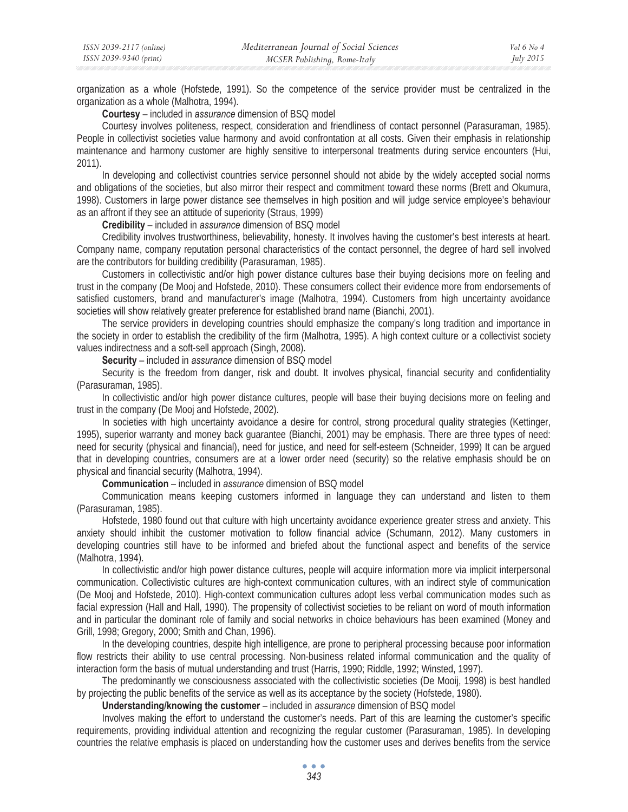organization as a whole (Hofstede, 1991). So the competence of the service provider must be centralized in the organization as a whole (Malhotra, 1994).

**Courtesy** – included in *assurance* dimension of BSQ model

Courtesy involves politeness, respect, consideration and friendliness of contact personnel (Parasuraman, 1985). People in collectivist societies value harmony and avoid confrontation at all costs. Given their emphasis in relationship maintenance and harmony customer are highly sensitive to interpersonal treatments during service encounters (Hui, 2011).

In developing and collectivist countries service personnel should not abide by the widely accepted social norms and obligations of the societies, but also mirror their respect and commitment toward these norms (Brett and Okumura, 1998). Customers in large power distance see themselves in high position and will judge service employee's behaviour as an affront if they see an attitude of superiority (Straus, 1999)

**Credibility** – included in *assurance* dimension of BSQ model

Credibility involves trustworthiness, believability, honesty. It involves having the customer's best interests at heart. Company name, company reputation personal characteristics of the contact personnel, the degree of hard sell involved are the contributors for building credibility (Parasuraman, 1985).

Customers in collectivistic and/or high power distance cultures base their buying decisions more on feeling and trust in the company (De Mooj and Hofstede, 2010). These consumers collect their evidence more from endorsements of satisfied customers, brand and manufacturer's image (Malhotra, 1994). Customers from high uncertainty avoidance societies will show relatively greater preference for established brand name (Bianchi, 2001).

The service providers in developing countries should emphasize the company's long tradition and importance in the society in order to establish the credibility of the firm (Malhotra, 1995). A high context culture or a collectivist society values indirectness and a soft-sell approach (Singh, 2008).

**Security** – included in *assurance* dimension of BSQ model

Security is the freedom from danger, risk and doubt. It involves physical, financial security and confidentiality (Parasuraman, 1985).

In collectivistic and/or high power distance cultures, people will base their buying decisions more on feeling and trust in the company (De Mooj and Hofstede, 2002).

In societies with high uncertainty avoidance a desire for control, strong procedural quality strategies (Kettinger, 1995), superior warranty and money back guarantee (Bianchi, 2001) may be emphasis. There are three types of need: need for security (physical and financial), need for justice, and need for self-esteem (Schneider, 1999) It can be argued that in developing countries, consumers are at a lower order need (security) so the relative emphasis should be on physical and financial security (Malhotra, 1994).

**Communication** – included in *assurance* dimension of BSQ model

Communication means keeping customers informed in language they can understand and listen to them (Parasuraman, 1985).

Hofstede, 1980 found out that culture with high uncertainty avoidance experience greater stress and anxiety. This anxiety should inhibit the customer motivation to follow financial advice (Schumann, 2012). Many customers in developing countries still have to be informed and briefed about the functional aspect and benefits of the service (Malhotra, 1994).

In collectivistic and/or high power distance cultures, people will acquire information more via implicit interpersonal communication. Collectivistic cultures are high-context communication cultures, with an indirect style of communication (De Mooj and Hofstede, 2010). High-context communication cultures adopt less verbal communication modes such as facial expression (Hall and Hall, 1990). The propensity of collectivist societies to be reliant on word of mouth information and in particular the dominant role of family and social networks in choice behaviours has been examined (Money and Grill, 1998; Gregory, 2000; Smith and Chan, 1996).

In the developing countries, despite high intelligence, are prone to peripheral processing because poor information flow restricts their ability to use central processing. Non-business related informal communication and the quality of interaction form the basis of mutual understanding and trust (Harris, 1990; Riddle, 1992; Winsted, 1997).

The predominantly we consciousness associated with the collectivistic societies (De Mooij, 1998) is best handled by projecting the public benefits of the service as well as its acceptance by the society (Hofstede, 1980).

**Understanding/knowing the customer** – included in *assurance* dimension of BSQ model

Involves making the effort to understand the customer's needs. Part of this are learning the customer's specific requirements, providing individual attention and recognizing the regular customer (Parasuraman, 1985). In developing countries the relative emphasis is placed on understanding how the customer uses and derives benefits from the service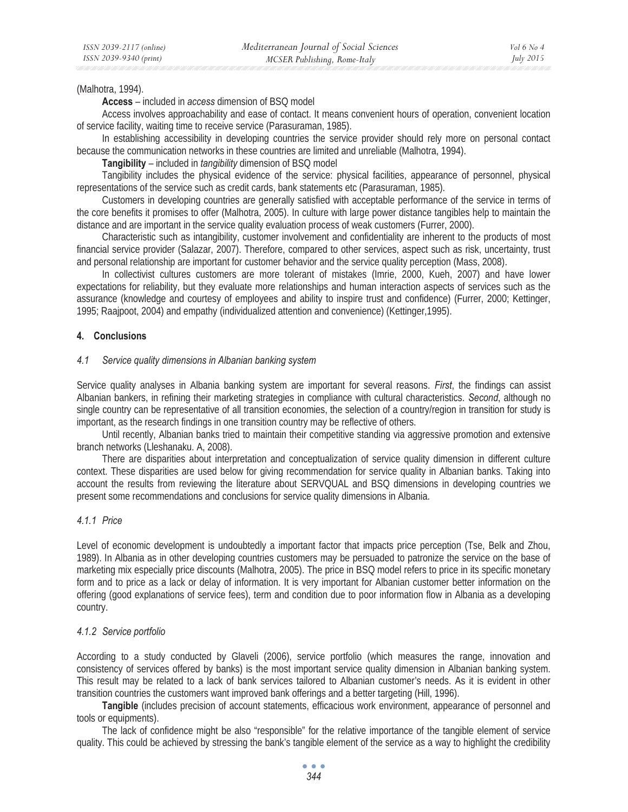### (Malhotra, 1994).

**Access** – included in *access* dimension of BSQ model

Access involves approachability and ease of contact. It means convenient hours of operation, convenient location of service facility, waiting time to receive service (Parasuraman, 1985).

In establishing accessibility in developing countries the service provider should rely more on personal contact because the communication networks in these countries are limited and unreliable (Malhotra, 1994).

**Tangibility** – included in *tangibility* dimension of BSQ model

Tangibility includes the physical evidence of the service: physical facilities, appearance of personnel, physical representations of the service such as credit cards, bank statements etc (Parasuraman, 1985).

Customers in developing countries are generally satisfied with acceptable performance of the service in terms of the core benefits it promises to offer (Malhotra, 2005). In culture with large power distance tangibles help to maintain the distance and are important in the service quality evaluation process of weak customers (Furrer, 2000).

Characteristic such as intangibility, customer involvement and confidentiality are inherent to the products of most financial service provider (Salazar, 2007). Therefore, compared to other services, aspect such as risk, uncertainty, trust and personal relationship are important for customer behavior and the service quality perception (Mass, 2008).

In collectivist cultures customers are more tolerant of mistakes (Imrie, 2000, Kueh, 2007) and have lower expectations for reliability, but they evaluate more relationships and human interaction aspects of services such as the assurance (knowledge and courtesy of employees and ability to inspire trust and confidence) (Furrer, 2000; Kettinger, 1995; Raajpoot, 2004) and empathy (individualized attention and convenience) (Kettinger,1995).

## **4. Conclusions**

## *4.1 Service quality dimensions in Albanian banking system*

Service quality analyses in Albania banking system are important for several reasons. *First*, the findings can assist Albanian bankers, in refining their marketing strategies in compliance with cultural characteristics. *Second*, although no single country can be representative of all transition economies, the selection of a country/region in transition for study is important, as the research findings in one transition country may be reflective of others.

Until recently, Albanian banks tried to maintain their competitive standing via aggressive promotion and extensive branch networks (Lleshanaku. A, 2008).

There are disparities about interpretation and conceptualization of service quality dimension in different culture context. These disparities are used below for giving recommendation for service quality in Albanian banks. Taking into account the results from reviewing the literature about SERVQUAL and BSQ dimensions in developing countries we present some recommendations and conclusions for service quality dimensions in Albania.

## *4.1.1 Price*

Level of economic development is undoubtedly a important factor that impacts price perception (Tse, Belk and Zhou, 1989). In Albania as in other developing countries customers may be persuaded to patronize the service on the base of marketing mix especially price discounts (Malhotra, 2005). The price in BSQ model refers to price in its specific monetary form and to price as a lack or delay of information. It is very important for Albanian customer better information on the offering (good explanations of service fees), term and condition due to poor information flow in Albania as a developing country.

## *4.1.2 Service portfolio*

According to a study conducted by Glaveli (2006), service portfolio (which measures the range, innovation and consistency of services offered by banks) is the most important service quality dimension in Albanian banking system. This result may be related to a lack of bank services tailored to Albanian customer's needs. As it is evident in other transition countries the customers want improved bank offerings and a better targeting (Hill, 1996).

**Tangible** (includes precision of account statements, efficacious work environment, appearance of personnel and tools or equipments).

The lack of confidence might be also "responsible" for the relative importance of the tangible element of service quality. This could be achieved by stressing the bank's tangible element of the service as a way to highlight the credibility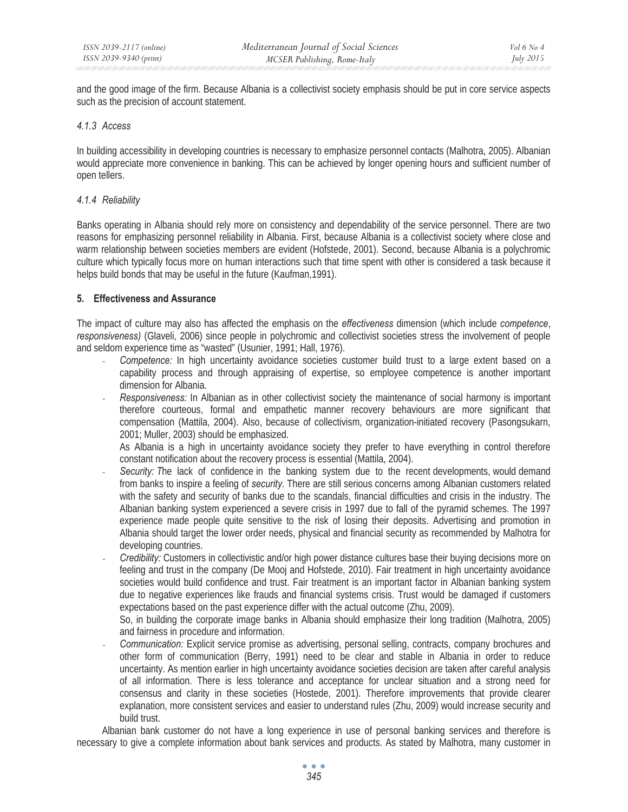and the good image of the firm. Because Albania is a collectivist society emphasis should be put in core service aspects such as the precision of account statement.

## *4.1.3 Access*

In building accessibility in developing countries is necessary to emphasize personnel contacts (Malhotra, 2005). Albanian would appreciate more convenience in banking. This can be achieved by longer opening hours and sufficient number of open tellers.

## *4.1.4 Reliability*

Banks operating in Albania should rely more on consistency and dependability of the service personnel. There are two reasons for emphasizing personnel reliability in Albania. First, because Albania is a collectivist society where close and warm relationship between societies members are evident (Hofstede, 2001). Second, because Albania is a polychromic culture which typically focus more on human interactions such that time spent with other is considered a task because it helps build bonds that may be useful in the future (Kaufman,1991).

## **5. Effectiveness and Assurance**

The impact of culture may also has affected the emphasis on the *effectiveness* dimension (which include *competence*, *responsiveness)* (Glaveli, 2006) since people in polychromic and collectivist societies stress the involvement of people and seldom experience time as "wasted" (Usunier, 1991; Hall, 1976).

- *Competence:* In high uncertainty avoidance societies customer build trust to a large extent based on a capability process and through appraising of expertise, so employee competence is another important dimension for Albania.
- *- Responsiveness:* In Albanian as in other collectivist society the maintenance of social harmony is important therefore courteous, formal and empathetic manner recovery behaviours are more significant that compensation (Mattila, 2004). Also, because of collectivism, organization-initiated recovery (Pasongsukarn, 2001; Muller, 2003) should be emphasized.

As Albania is a high in uncertainty avoidance society they prefer to have everything in control therefore constant notification about the recovery process is essential (Mattila, 2004).

- *- Security: T*he lack of confidence in the banking system due to the recent developments, would demand from banks to inspire a feeling of *security*. There are still serious concerns among Albanian customers related with the safety and security of banks due to the scandals, financial difficulties and crisis in the industry. The Albanian banking system experienced a severe crisis in 1997 due to fall of the pyramid schemes. The 1997 experience made people quite sensitive to the risk of losing their deposits. Advertising and promotion in Albania should target the lower order needs, physical and financial security as recommended by Malhotra for developing countries.
- *- Credibility:* Customers in collectivistic and/or high power distance cultures base their buying decisions more on feeling and trust in the company (De Mooj and Hofstede, 2010). Fair treatment in high uncertainty avoidance societies would build confidence and trust. Fair treatment is an important factor in Albanian banking system due to negative experiences like frauds and financial systems crisis. Trust would be damaged if customers expectations based on the past experience differ with the actual outcome (Zhu, 2009).

So, in building the corporate image banks in Albania should emphasize their long tradition (Malhotra, 2005) and fairness in procedure and information.

*- Communication:* Explicit service promise as advertising, personal selling, contracts, company brochures and other form of communication (Berry, 1991) need to be clear and stable in Albania in order to reduce uncertainty. As mention earlier in high uncertainty avoidance societies decision are taken after careful analysis of all information. There is less tolerance and acceptance for unclear situation and a strong need for consensus and clarity in these societies (Hostede, 2001). Therefore improvements that provide clearer explanation, more consistent services and easier to understand rules (Zhu, 2009) would increase security and build trust.

Albanian bank customer do not have a long experience in use of personal banking services and therefore is necessary to give a complete information about bank services and products. As stated by Malhotra, many customer in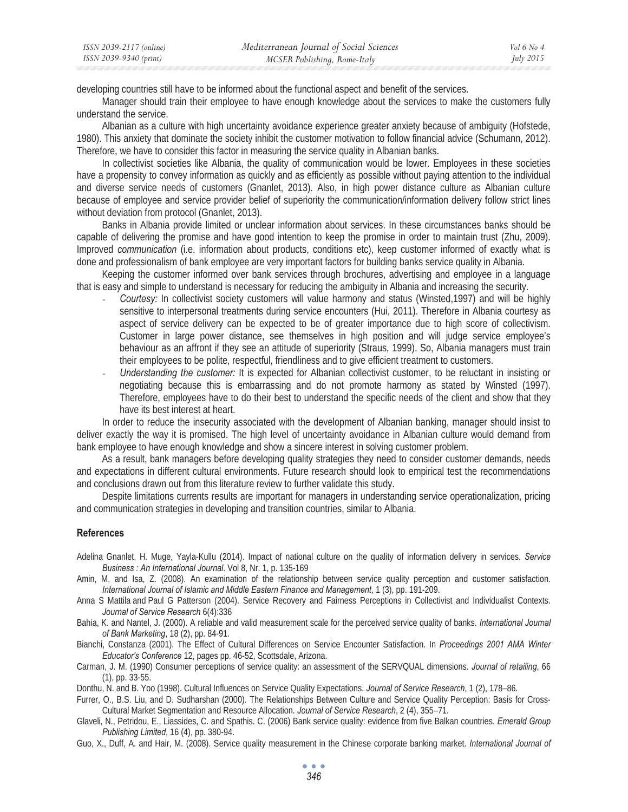| ISSN 2039-2117 (online) | Mediterranean Journal of Social Sciences | Vol 6 No 4       |
|-------------------------|------------------------------------------|------------------|
| ISSN 2039-9340 (print)  | MCSER Publishing, Rome-Italy             | <i>July 2015</i> |

developing countries still have to be informed about the functional aspect and benefit of the services.

Manager should train their employee to have enough knowledge about the services to make the customers fully understand the service.

Albanian as a culture with high uncertainty avoidance experience greater anxiety because of ambiguity (Hofstede, 1980). This anxiety that dominate the society inhibit the customer motivation to follow financial advice (Schumann, 2012). Therefore, we have to consider this factor in measuring the service quality in Albanian banks.

In collectivist societies like Albania, the quality of communication would be lower. Employees in these societies have a propensity to convey information as quickly and as efficiently as possible without paying attention to the individual and diverse service needs of customers (Gnanlet, 2013). Also, in high power distance culture as Albanian culture because of employee and service provider belief of superiority the communication/information delivery follow strict lines without deviation from protocol (Gnanlet, 2013).

Banks in Albania provide limited or unclear information about services. In these circumstances banks should be capable of delivering the promise and have good intention to keep the promise in order to maintain trust (Zhu, 2009). Improved *communication* (i.e. information about products, conditions etc), keep customer informed of exactly what is done and professionalism of bank employee are very important factors for building banks service quality in Albania.

Keeping the customer informed over bank services through brochures, advertising and employee in a language that is easy and simple to understand is necessary for reducing the ambiguity in Albania and increasing the security.

- *- Courtesy:* In collectivist society customers will value harmony and status (Winsted,1997) and will be highly sensitive to interpersonal treatments during service encounters (Hui, 2011). Therefore in Albania courtesy as aspect of service delivery can be expected to be of greater importance due to high score of collectivism. Customer in large power distance, see themselves in high position and will judge service employee's behaviour as an affront if they see an attitude of superiority (Straus, 1999). So, Albania managers must train their employees to be polite, respectful, friendliness and to give efficient treatment to customers.
- *- Understanding the customer:* It is expected for Albanian collectivist customer, to be reluctant in insisting or negotiating because this is embarrassing and do not promote harmony as stated by Winsted (1997). Therefore, employees have to do their best to understand the specific needs of the client and show that they have its best interest at heart.

In order to reduce the insecurity associated with the development of Albanian banking, manager should insist to deliver exactly the way it is promised. The high level of uncertainty avoidance in Albanian culture would demand from bank employee to have enough knowledge and show a sincere interest in solving customer problem.

As a result, bank managers before developing quality strategies they need to consider customer demands, needs and expectations in different cultural environments. Future research should look to empirical test the recommendations and conclusions drawn out from this literature review to further validate this study.

Despite limitations currents results are important for managers in understanding service operationalization, pricing and communication strategies in developing and transition countries, similar to Albania.

#### **References**

- Adelina Gnanlet, H. Muge, Yayla-Kullu (2014). Impact of national culture on the quality of information delivery in services. *Service Business : An International Journal*. Vol 8, Nr. 1, p. 135-169
- Amin, M. and Isa, Z. (2008). An examination of the relationship between service quality perception and customer satisfaction. *International Journal of Islamic and Middle Eastern Finance and Management*, 1 (3), pp. 191-209.
- Anna S Mattila and Paul G Patterson (2004). Service Recovery and Fairness Perceptions in Collectivist and Individualist Contexts. *Journal of Service Research* 6(4):336
- Bahia, K. and Nantel, J. (2000). A reliable and valid measurement scale for the perceived service quality of banks. *International Journal of Bank Marketing*, 18 (2), pp. 84-91.

Bianchi, Constanza (2001). The Effect of Cultural Differences on Service Encounter Satisfaction. In *Proceedings 2001 AMA Winter Educator's Conference* 12, pages pp. 46-52, Scottsdale, Arizona.

Carman, J. M. (1990) Consumer perceptions of service quality: an assessment of the SERVQUAL dimensions. *Journal of retailing*, 66 (1), pp. 33-55.

Donthu, N. and B. Yoo (1998). Cultural Influences on Service Quality Expectations. *Journal of Service Research*, 1 (2), 178–86.

- Furrer, O., B.S. Liu, and D. Sudharshan (2000). The Relationships Between Culture and Service Quality Perception: Basis for Cross-Cultural Market Segmentation and Resource Allocation. *Journal of Service Research*, 2 (4), 355–71.
- Glaveli, N., Petridou, E., Liassides, C. and Spathis. C. (2006) Bank service quality: evidence from five Balkan countries. *Emerald Group Publishing Limited*, 16 (4), pp. 380-94.
- Guo, X., Duff, A. and Hair, M. (2008). Service quality measurement in the Chinese corporate banking market. *International Journal of*